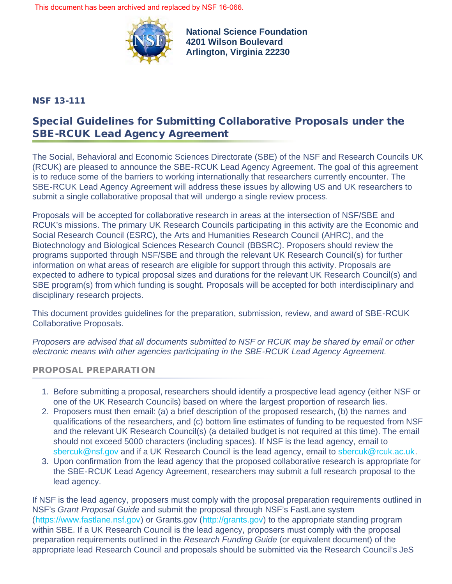This document has been archived and replaced by [NSF 16-066.](https://www.nsf.gov/publications/pub_summ.jsp?ods_key=nsf16066)



**National Science Foundation 4201 Wilson Boulevard Arlington, Virginia 22230**

## NSF 13-111

# Special Guidelines for Submitting Collaborative Proposals under the SBE-RCUK Lead Agency Agreement

The Social, Behavioral and Economic Sciences Directorate (SBE) of the NSF and Research Councils UK (RCUK) are pleased to announce the SBE-RCUK Lead Agency Agreement. The goal of this agreement is to reduce some of the barriers to working internationally that researchers currently encounter. The SBE-RCUK Lead Agency Agreement will address these issues by allowing US and UK researchers to submit a single collaborative proposal that will undergo a single review process.

Proposals will be accepted for collaborative research in areas at the intersection of NSF/SBE and RCUK's missions. The primary UK Research Councils participating in this activity are the Economic and Social Research Council (ESRC), the Arts and Humanities Research Council (AHRC), and the Biotechnology and Biological Sciences Research Council (BBSRC). Proposers should review the programs supported through NSF/SBE and through the relevant UK Research Council(s) for further information on what areas of research are eligible for support through this activity. Proposals are expected to adhere to typical proposal sizes and durations for the relevant UK Research Council(s) and SBE program(s) from which funding is sought. Proposals will be accepted for both interdisciplinary and disciplinary research projects.

This document provides guidelines for the preparation, submission, review, and award of SBE-RCUK Collaborative Proposals.

*Proposers are advised that all documents submitted to NSF or RCUK may be shared by email or other electronic means with other agencies participating in the SBE-RCUK Lead Agency Agreement.*

## **PROPOSAL PREPARATION**

- 1. Before submitting a proposal, researchers should identify a prospective lead agency (either NSF or one of the UK Research Councils) based on where the largest proportion of research lies.
- 2. Proposers must then email: (a) a brief description of the proposed research, (b) the names and qualifications of the researchers, and (c) bottom line estimates of funding to be requested from NSF and the relevant UK Research Council(s) (a detailed budget is not required at this time). The email should not exceed 5000 characters (including spaces). If NSF is the lead agency, email to [sbercuk@nsf.gov](mailto:sbercuk@nsf.gov) and if a UK Research Council is the lead agency, email to [sbercuk@rcuk.ac.uk](mailto:sbercuk@rcuk.ac.uk).
- 3. Upon confirmation from the lead agency that the proposed collaborative research is appropriate for the SBE-RCUK Lead Agency Agreement, researchers may submit a full research proposal to the lead agency.

If NSF is the lead agency, proposers must comply with the proposal preparation requirements outlined in NSF's *Grant Proposal Guide* and submit the proposal through NSF's FastLane system ([https://www.fastlane.nsf.gov](https://www.fastlane.nsf.gov/)) or Grants.gov ([http://grants.gov\)](http://grants.gov/) to the appropriate standing program within SBE. If a UK Research Council is the lead agency, proposers must comply with the proposal preparation requirements outlined in the *Research Funding Guide* (or equivalent document) of the appropriate lead Research Council and proposals should be submitted via the Research Council's JeS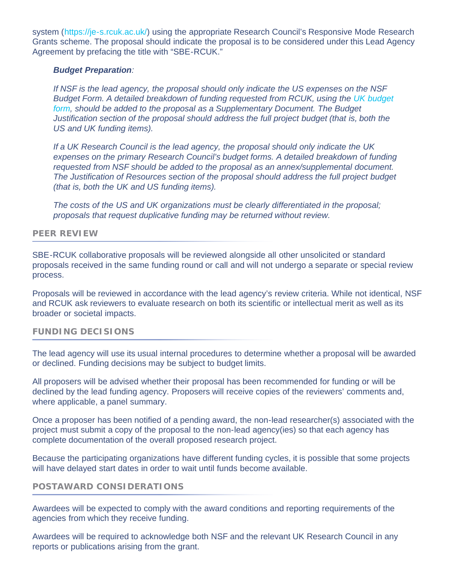system ([https://je-s.rcuk.ac.uk/](http://www.nsf.gov/cgi-bin/goodbye?https://je-s.rcuk.ac.uk/)) using the appropriate Research Council's Responsive Mode Research Grants scheme. The proposal should indicate the proposal is to be considered under this Lead Agency Agreement by prefacing the title with "SBE-RCUK."

#### *Budget Preparation:*

*If NSF is the lead agency, the proposal should only indicate the US expenses on the NSF Budget Form. A detailed breakdown of funding requested from RCUK, using the [UK budget](http://www.nsf.gov/sbe/RCUK/UK_Budget_Form.pdf) [form](http://www.nsf.gov/sbe/RCUK/UK_Budget_Form.pdf), should be added to the proposal as a Supplementary Document. The Budget Justification section of the proposal should address the full project budget (that is, both the US and UK funding items).*

*If a UK Research Council is the lead agency, the proposal should only indicate the UK expenses on the primary Research Council's budget forms. A detailed breakdown of funding requested from NSF should be added to the proposal as an annex/supplemental document. The Justification of Resources section of the proposal should address the full project budget (that is, both the UK and US funding items).*

*The costs of the US and UK organizations must be clearly differentiated in the proposal; proposals that request duplicative funding may be returned without review.*

#### **PEER REVIEW**

SBE-RCUK collaborative proposals will be reviewed alongside all other unsolicited or standard proposals received in the same funding round or call and will not undergo a separate or special review process.

Proposals will be reviewed in accordance with the lead agency's review criteria. While not identical, NSF and RCUK ask reviewers to evaluate research on both its scientific or intellectual merit as well as its broader or societal impacts.

#### **FUNDING DECISIONS**

The lead agency will use its usual internal procedures to determine whether a proposal will be awarded or declined. Funding decisions may be subject to budget limits.

All proposers will be advised whether their proposal has been recommended for funding or will be declined by the lead funding agency. Proposers will receive copies of the reviewers' comments and, where applicable, a panel summary.

Once a proposer has been notified of a pending award, the non-lead researcher(s) associated with the project must submit a copy of the proposal to the non-lead agency(ies) so that each agency has complete documentation of the overall proposed research project.

Because the participating organizations have different funding cycles, it is possible that some projects will have delayed start dates in order to wait until funds become available.

### **POSTAWARD CONSIDERATIONS**

Awardees will be expected to comply with the award conditions and reporting requirements of the agencies from which they receive funding.

Awardees will be required to acknowledge both NSF and the relevant UK Research Council in any reports or publications arising from the grant.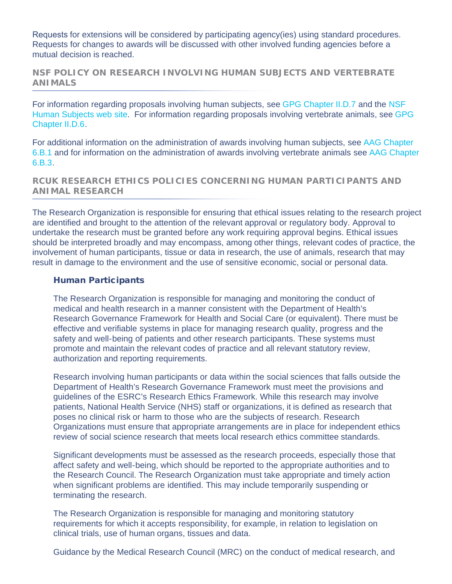Requests for extensions will be considered by participating agency(ies) using standard procedures. Requests for changes to awards will be discussed with other involved funding agencies before a mutual decision is reached.

**NSF POLICY ON RESEARCH INVOLVING HUMAN SUBJECTS AND VERTEBRATE ANIMALS**

For information regarding proposals involving human subjects, see [GPG Chapter II.D.7](http://www.nsf.gov/pubs/policydocs/pappguide/nsf13001/gpg_2.jsp#IID7) and the [NSF](http://www.nsf.gov/bfa/dias/policy/human.jsp) [Human Subjects web site.](http://www.nsf.gov/bfa/dias/policy/human.jsp) For information regarding proposals involving vertebrate animals, see [GPG](http://www.nsf.gov/pubs/policydocs/pappguide/nsf13001/gpg_2.jsp#IID6) [Chapter II.D.6](http://www.nsf.gov/pubs/policydocs/pappguide/nsf13001/gpg_2.jsp#IID6).

For additional information on the administration of awards involving human subjects, see [AAG Chapter](http://www.nsf.gov/pubs/policydocs/pappguide/nsf13001/aag_6.jsp#VIB1) [6.B.1](http://www.nsf.gov/pubs/policydocs/pappguide/nsf13001/aag_6.jsp#VIB1) and for information on the administration of awards involving vertebrate animals see [AAG Chapter](http://www.nsf.gov/pubs/policydocs/pappguide/nsf13001/aag_6.jsp#VIB3) [6.B.3.](http://www.nsf.gov/pubs/policydocs/pappguide/nsf13001/aag_6.jsp#VIB3)

**RCUK RESEARCH ETHICS POLICIES CONCERNING HUMAN PARTICIPANTS AND ANIMAL RESEARCH**

The Research Organization is responsible for ensuring that ethical issues relating to the research project are identified and brought to the attention of the relevant approval or regulatory body. Approval to undertake the research must be granted before any work requiring approval begins. Ethical issues should be interpreted broadly and may encompass, among other things, relevant codes of practice, the involvement of human participants, tissue or data in research, the use of animals, research that may result in damage to the environment and the use of sensitive economic, social or personal data.

#### Human Participants

The Research Organization is responsible for managing and monitoring the conduct of medical and health research in a manner consistent with the Department of Health's Research Governance Framework for Health and Social Care (or equivalent). There must be effective and verifiable systems in place for managing research quality, progress and the safety and well-being of patients and other research participants. These systems must promote and maintain the relevant codes of practice and all relevant statutory review, authorization and reporting requirements.

Research involving human participants or data within the social sciences that falls outside the Department of Health's Research Governance Framework must meet the provisions and guidelines of the ESRC's Research Ethics Framework. While this research may involve patients, National Health Service (NHS) staff or organizations, it is defined as research that poses no clinical risk or harm to those who are the subjects of research. Research Organizations must ensure that appropriate arrangements are in place for independent ethics review of social science research that meets local research ethics committee standards.

Significant developments must be assessed as the research proceeds, especially those that affect safety and well-being, which should be reported to the appropriate authorities and to the Research Council. The Research Organization must take appropriate and timely action when significant problems are identified. This may include temporarily suspending or terminating the research.

The Research Organization is responsible for managing and monitoring statutory requirements for which it accepts responsibility, for example, in relation to legislation on clinical trials, use of human organs, tissues and data.

Guidance by the Medical Research Council (MRC) on the conduct of medical research, and